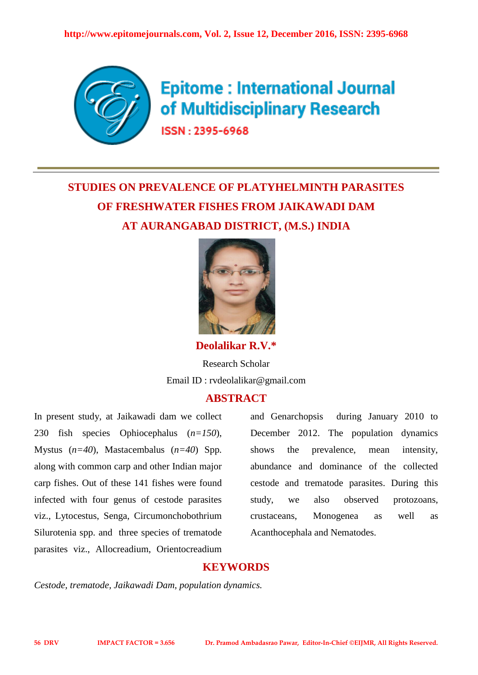

**Epitome: International Journal** of Multidisciplinary Research

**ISSN - 2395-6968** 

# **STUDIES ON PREVALENCE OF PLATYHELMINTH PARASITES OF FRESHWATER FISHES FROM JAIKAWADI DAM AT AURANGABAD DISTRICT, (M.S.) INDIA**



**Deolalikar R.V.\***

Research Scholar Email ID : rvdeolalikar@gmail.com

# **ABSTRACT**

In present study, at Jaikawadi dam we collect 230 fish species Ophiocephalus (*n=150*), Mystus (*n=40*), Mastacembalus (*n=40*) Spp*.* along with common carp and other Indian major carp fishes. Out of these 141 fishes were found infected with four genus of cestode parasites viz., Lytocestus, Senga, Circumonchobothrium Silurotenia spp. and three species of trematode parasites viz., Allocreadium, Orientocreadium and Genarchopsis during January 2010 to December 2012. The population dynamics shows the prevalence, mean intensity, abundance and dominance of the collected cestode and trematode parasites. During this study, we also observed protozoans, crustaceans, Monogenea as well as Acanthocephala and Nematodes.

### **KEYWORDS**

*Cestode, trematode, Jaikawadi Dam, population dynamics.*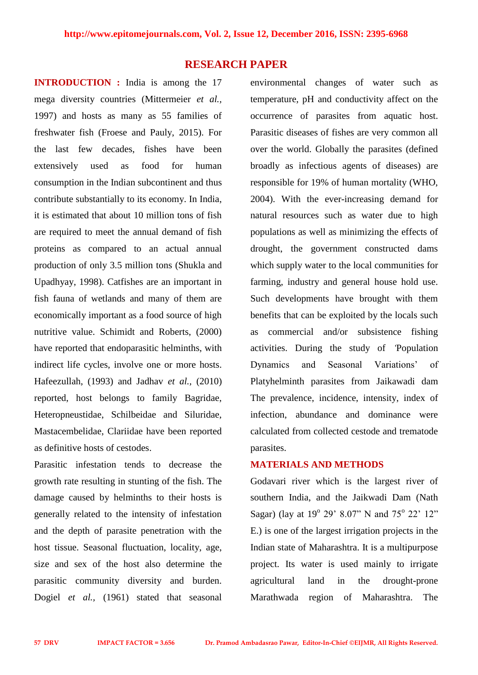#### **RESEARCH PAPER**

**INTRODUCTION :** India is among the 17 mega diversity countries (Mittermeier *et al.,* 1997) and hosts as many as 55 families of freshwater fish (Froese and Pauly, 2015). For the last few decades, fishes have been extensively used as food for human consumption in the Indian subcontinent and thus contribute substantially to its economy. In India, it is estimated that about 10 million tons of fish are required to meet the annual demand of fish proteins as compared to an actual annual production of only 3.5 million tons (Shukla and Upadhyay, 1998). Catfishes are an important in fish fauna of wetlands and many of them are economically important as a food source of high nutritive value. Schimidt and Roberts, (2000) have reported that endoparasitic helminths, with indirect life cycles, involve one or more hosts. Hafeezullah, (1993) and Jadhav *et al.,* (2010) reported, host belongs to family Bagridae, Heteropneustidae, Schilbeidae and Siluridae, Mastacembelidae, Clariidae have been reported as definitive hosts of cestodes.

Parasitic infestation tends to decrease the growth rate resulting in stunting of the fish. The damage caused by helminths to their hosts is generally related to the intensity of infestation and the depth of parasite penetration with the host tissue. Seasonal fluctuation, locality, age, size and sex of the host also determine the parasitic community diversity and burden. Dogiel *et al.,* (1961) stated that seasonal environmental changes of water such as temperature, pH and conductivity affect on the occurrence of parasites from aquatic host. Parasitic diseases of fishes are very common all over the world. Globally the parasites (defined broadly as infectious agents of diseases) are responsible for 19% of human mortality (WHO, 2004). With the ever-increasing demand for natural resources such as water due to high populations as well as minimizing the effects of drought, the government constructed dams which supply water to the local communities for farming, industry and general house hold use. Such developments have brought with them benefits that can be exploited by the locals such as commercial and/or subsistence fishing activities. During the study of *'*Population Dynamics and Seasonal Variations' of Platyhelminth parasites from Jaikawadi dam The prevalence, incidence, intensity, index of infection, abundance and dominance were calculated from collected cestode and trematode parasites.

## **MATERIALS AND METHODS**

Godavari river which is the largest river of southern India, and the Jaikwadi Dam (Nath Sagar) (lay at  $19^{\circ}$  29' 8.07" N and  $75^{\circ}$  22' 12" E.) is one of the largest irrigation projects in the Indian state of Maharashtra. It is a multipurpose project. Its water is used mainly to irrigate agricultural land in the drought-prone Marathwada region of Maharashtra. The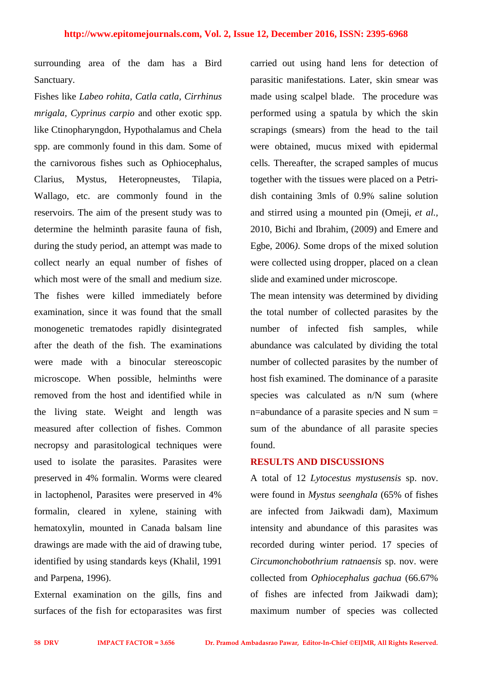surrounding area of the dam has a Bird Sanctuary.

Fishes like *Labeo rohita, Catla catla, Cirrhinus mrigala, Cyprinus carpio* and other exotic spp. like Ctinopharyngdon, Hypothalamus and Chela spp. are commonly found in this dam. Some of the carnivorous fishes such as Ophiocephalus, Clarius, Mystus, Heteropneustes, Tilapia, Wallago*,* etc. are commonly found in the reservoirs. The aim of the present study was to determine the helminth parasite fauna of fish, during the study period, an attempt was made to collect nearly an equal number of fishes of which most were of the small and medium size. The fishes were killed immediately before examination, since it was found that the small monogenetic trematodes rapidly disintegrated after the death of the fish. The examinations were made with a binocular stereoscopic microscope. When possible, helminths were removed from the host and identified while in the living state. Weight and length was measured after collection of fishes. Common necropsy and parasitological techniques were used to isolate the parasites. Parasites were preserved in 4% formalin. Worms were cleared in lactophenol, Parasites were preserved in 4% formalin, cleared in xylene, staining with hematoxylin, mounted in Canada balsam line drawings are made with the aid of drawing tube, identified by using standards keys (Khalil, 1991 and Parpena, 1996).

External examination on the gills, fins and surfaces of the fish for ectoparasites was first carried out using hand lens for detection of parasitic manifestations. Later, skin smear was made using scalpel blade. The procedure was performed using a spatula by which the skin scrapings (smears) from the head to the tail were obtained, mucus mixed with epidermal cells. Thereafter, the scraped samples of mucus together with the tissues were placed on a Petridish containing 3mls of 0.9% saline solution and stirred using a mounted pin (Omeji, *et al.,* 2010, Bichi and Ibrahim, (2009) and Emere and Egbe, 2006*)*. Some drops of the mixed solution were collected using dropper, placed on a clean slide and examined under microscope.

The mean intensity was determined by dividing the total number of collected parasites by the number of infected fish samples, while abundance was calculated by dividing the total number of collected parasites by the number of host fish examined. The dominance of a parasite species was calculated as n/N sum (where n=abundance of a parasite species and  $N$  sum = sum of the abundance of all parasite species found.

#### **RESULTS AND DISCUSSIONS**

A total of 12 *Lytocestus mystusensis* sp. nov. were found in *Mystus seenghala* (65% of fishes are infected from Jaikwadi dam), Maximum intensity and abundance of this parasites was recorded during winter period. 17 species of *Circumonchobothrium ratnaensis* sp. nov. were collected from *Ophiocephalus gachua* (66.67% of fishes are infected from Jaikwadi dam); maximum number of species was collected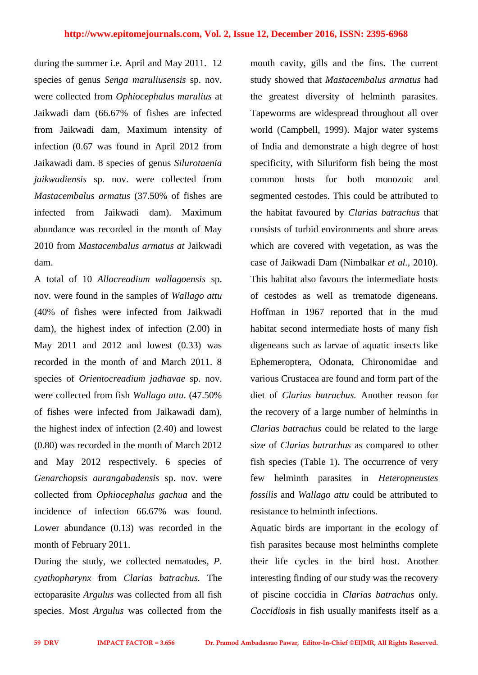during the summer i.e. April and May 2011. 12 species of genus *Senga maruliusensis* sp. nov. were collected from *Ophiocephalus marulius* at Jaikwadi dam (66.67% of fishes are infected from Jaikwadi dam*,* Maximum intensity of infection (0.67 was found in April 2012 from Jaikawadi dam. 8 species of genus *Silurotaenia jaikwadiensis* sp. nov. were collected from *Mastacembalus armatus* (37.50% of fishes are infected from Jaikwadi dam). Maximum abundance was recorded in the month of May 2010 from *Mastacembalus armatus at* Jaikwadi dam.

A total of 10 *Allocreadium wallagoensis* sp. nov. were found in the samples of *Wallago attu* (40% of fishes were infected from Jaikwadi dam), the highest index of infection (2.00) in May 2011 and 2012 and lowest (0.33) was recorded in the month of and March 2011. 8 species of *Orientocreadium jadhavae* sp. nov. were collected from fish *Wallago attu*. (47.50% of fishes were infected from Jaikawadi dam), the highest index of infection (2.40) and lowest (0.80) was recorded in the month of March 2012 and May 2012 respectively. 6 species of *Genarchopsis aurangabadensis* sp. nov. were collected from *Ophiocephalus gachua* and the incidence of infection 66.67% was found. Lower abundance  $(0.13)$  was recorded in the month of February 2011.

During the study, we collected nematodes, *P*. *cyathopharynx* from *Clarias batrachus.* The ectoparasite *Argulus* was collected from all fish species. Most *Argulus* was collected from the

mouth cavity, gills and the fins. The current study showed that *Mastacembalus armatus* had the greatest diversity of helminth parasites. Tapeworms are widespread throughout all over world (Campbell, 1999). Major water systems of India and demonstrate a high degree of host specificity, with Siluriform fish being the most common hosts for both monozoic and segmented cestodes. This could be attributed to the habitat favoured by *Clarias batrachus* that consists of turbid environments and shore areas which are covered with vegetation, as was the case of Jaikwadi Dam (Nimbalkar *et al.,* 2010). This habitat also favours the intermediate hosts of cestodes as well as trematode digeneans. Hoffman in 1967 reported that in the mud habitat second intermediate hosts of many fish digeneans such as larvae of aquatic insects like Ephemeroptera, Odonata, Chironomidae and various Crustacea are found and form part of the diet of *Clarias batrachus.* Another reason for the recovery of a large number of helminths in *Clarias batrachus* could be related to the large size of *Clarias batrachus* as compared to other fish species (Table 1). The occurrence of very few helminth parasites in *Heteropneustes fossilis* and *Wallago attu* could be attributed to resistance to helminth infections.

Aquatic birds are important in the ecology of fish parasites because most helminths complete their life cycles in the bird host. Another interesting finding of our study was the recovery of piscine coccidia in *Clarias batrachus* only. *Coccidiosis* in fish usually manifests itself as a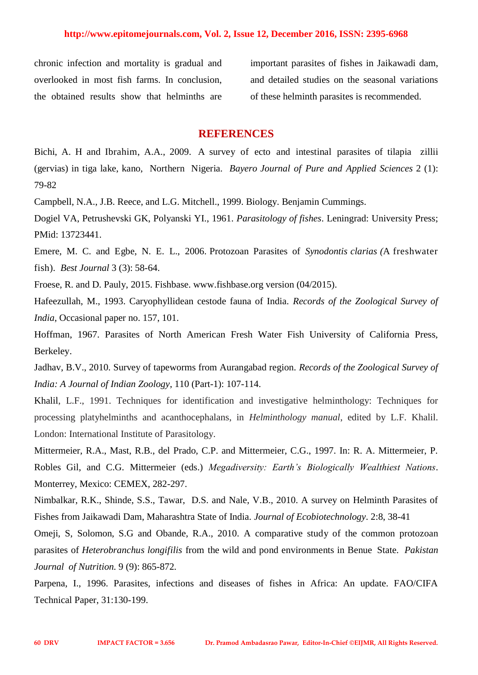chronic infection and mortality is gradual and overlooked in most fish farms. In conclusion, the obtained results show that helminths are

important parasites of fishes in Jaikawadi dam, and detailed studies on the seasonal variations of these helminth parasites is recommended.

#### **REFERENCES**

Bichi, A. H and Ibrahim, A.A., 2009. A survey of ecto and intestinal parasites of tilapia zillii (gervias) in tiga lake, kano, Northern Nigeria. *Bayero Journal of Pure and Applied Sciences* 2 (1): 79-82

Campbell, N.A., J.B. Reece, and L.G. Mitchell., 1999. Biology. Benjamin Cummings.

Dogiel VA, Petrushevski GK, Polyanski YI., 1961. *Parasitology of fishes*. Leningrad: University Press; PMid: 13723441.

Emere, M. C. and Egbe, N. E. L., 2006. Protozoan Parasites of *Synodontis clarias (*A freshwater fish). *Best Journal* 3 (3): 58-64.

Froese, R. and D. Pauly, 2015. Fishbase. www.fishbase.org version (04/2015).

Hafeezullah, M., 1993. Caryophyllidean cestode fauna of India. *Records of the Zoological Survey of India*, Occasional paper no. 157, 101.

Hoffman, 1967. Parasites of North American Fresh Water Fish University of California Press, Berkeley.

Jadhav, B.V., 2010. Survey of tapeworms from Aurangabad region. *Records of the Zoological Survey of India: A Journal of Indian Zoology*, 110 (Part-1): 107-114.

Khalil, L.F., 1991. Techniques for identification and investigative helminthology: Techniques for processing platyhelminths and acanthocephalans, in *Helminthology manual*, edited by L.F. Khalil. London: International Institute of Parasitology.

Mittermeier, R.A., Mast, R.B., del Prado, C.P. and Mittermeier, C.G., 1997. In: R. A. Mittermeier, P. Robles Gil, and C.G. Mittermeier (eds.) *Megadiversity: Earth's Biologically Wealthiest Nations*. Monterrey, Mexico: CEMEX, 282-297.

Nimbalkar, R.K., Shinde, S.S., Tawar, D.S. and Nale, V.B., 2010. A survey on Helminth Parasites of Fishes from Jaikawadi Dam, Maharashtra State of India. *Journal of Ecobiotechnology*. 2:8, 38-41

Omeji, S, Solomon, S.G and Obande, R.A., 2010. A comparative study of the common protozoan parasites of *Heterobranchus longifilis* from the wild and pond environments in Benue State. *Pakistan Journal of Nutrition.* 9 (9): 865-872.

Parpena, I., 1996. Parasites, infections and diseases of fishes in Africa: An update. FAO/CIFA Technical Paper, 31:130-199.